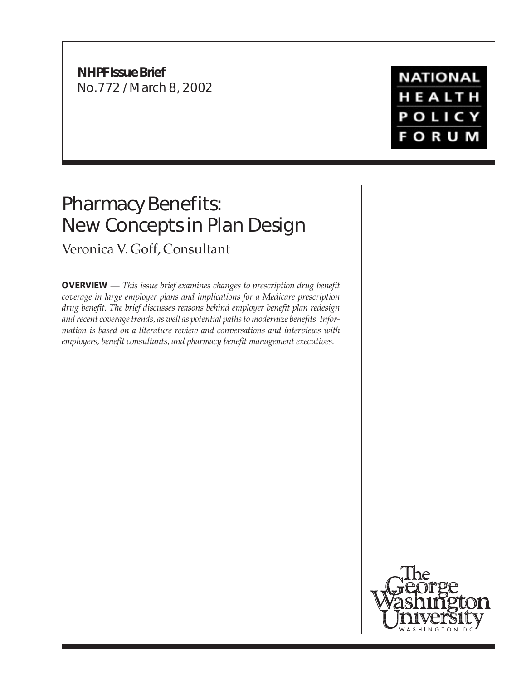**NHPF Issue Brief** No.772 / March 8, 2002

## **NATIONAL** HEALTH **POLICY FORUM**

# Pharmacy Benefits: New Concepts in Plan Design

Veronica V. Goff, Consultant

**OVERVIEW** *— This issue brief examines changes to prescription drug benefit coverage in large employer plans and implications for a Medicare prescription drug benefit. The brief discusses reasons behind employer benefit plan redesign and recent coverage trends, as well as potential paths to modernize benefits. Information is based on a literature review and conversations and interviews with employers, benefit consultants, and pharmacy benefit management executives.*

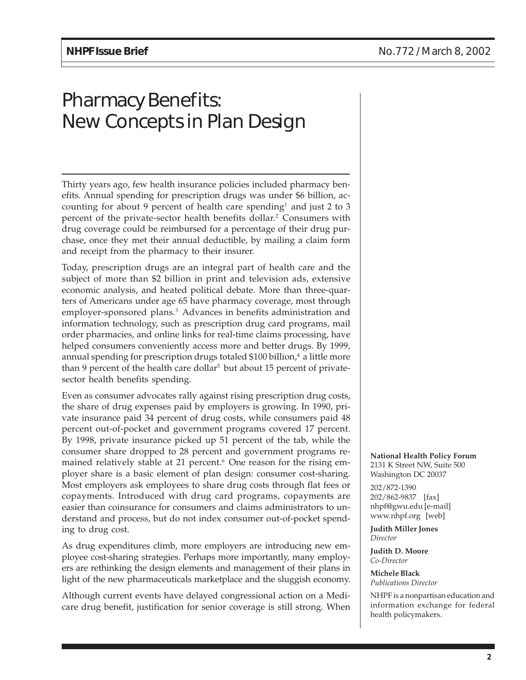## Pharmacy Benefits: New Concepts in Plan Design

Thirty years ago, few health insurance policies included pharmacy benefits. Annual spending for prescription drugs was under \$6 billion, accounting for about 9 percent of health care spending<sup>1</sup> and just 2 to 3 percent of the private-sector health benefits dollar.<sup>2</sup> Consumers with drug coverage could be reimbursed for a percentage of their drug purchase, once they met their annual deductible, by mailing a claim form and receipt from the pharmacy to their insurer.

Today, prescription drugs are an integral part of health care and the subject of more than \$2 billion in print and television ads, extensive economic analysis, and heated political debate. More than three-quarters of Americans under age 65 have pharmacy coverage, most through employer-sponsored plans.<sup>3</sup> Advances in benefits administration and information technology, such as prescription drug card programs, mail order pharmacies, and online links for real-time claims processing, have helped consumers conveniently access more and better drugs. By 1999, annual spending for prescription drugs totaled \$100 billion, $4$  a little more than 9 percent of the health care dollar<sup>5</sup> but about 15 percent of privatesector health benefits spending.

Even as consumer advocates rally against rising prescription drug costs, the share of drug expenses paid by employers is growing. In 1990, private insurance paid 34 percent of drug costs, while consumers paid 48 percent out-of-pocket and government programs covered 17 percent. By 1998, private insurance picked up 51 percent of the tab, while the consumer share dropped to 28 percent and government programs remained relatively stable at 21 percent.<sup>6</sup> One reason for the rising employer share is a basic element of plan design: consumer cost-sharing. Most employers ask employees to share drug costs through flat fees or copayments. Introduced with drug card programs, copayments are easier than coinsurance for consumers and claims administrators to understand and process, but do not index consumer out-of-pocket spending to drug cost.

As drug expenditures climb, more employers are introducing new employee cost-sharing strategies. Perhaps more importantly, many employers are rethinking the design elements and management of their plans in light of the new pharmaceuticals marketplace and the sluggish economy.

Although current events have delayed congressional action on a Medicare drug benefit, justification for senior coverage is still strong. When **National Health Policy Forum** 2131 K Street NW, Suite 500 Washington DC 20037

202/872-1390 202/862-9837 [fax] nhpf@gwu.edu [e-mail] www.nhpf.org [web]

**Judith Miller Jones** *Director*

**Judith D. Moore** *Co-Director*

**Michele Black** *Publications Director*

NHPF is a nonpartisan education and information exchange for federal health policymakers.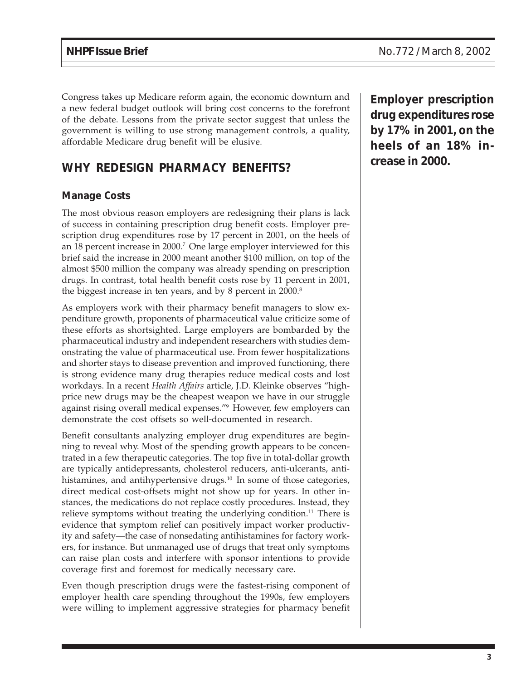Congress takes up Medicare reform again, the economic downturn and a new federal budget outlook will bring cost concerns to the forefront of the debate. Lessons from the private sector suggest that unless the government is willing to use strong management controls, a quality, affordable Medicare drug benefit will be elusive.

### **WHY REDESIGN PHARMACY BENEFITS?**

#### **Manage Costs**

The most obvious reason employers are redesigning their plans is lack of success in containing prescription drug benefit costs. Employer prescription drug expenditures rose by 17 percent in 2001, on the heels of an 18 percent increase in 2000.7 One large employer interviewed for this brief said the increase in 2000 meant another \$100 million, on top of the almost \$500 million the company was already spending on prescription drugs. In contrast, total health benefit costs rose by 11 percent in 2001, the biggest increase in ten years, and by 8 percent in 2000.<sup>8</sup>

As employers work with their pharmacy benefit managers to slow expenditure growth, proponents of pharmaceutical value criticize some of these efforts as shortsighted. Large employers are bombarded by the pharmaceutical industry and independent researchers with studies demonstrating the value of pharmaceutical use. From fewer hospitalizations and shorter stays to disease prevention and improved functioning, there is strong evidence many drug therapies reduce medical costs and lost workdays. In a recent *Health Affairs* article, J.D. Kleinke observes "highprice new drugs may be the cheapest weapon we have in our struggle against rising overall medical expenses."9 However, few employers can demonstrate the cost offsets so well-documented in research.

Benefit consultants analyzing employer drug expenditures are beginning to reveal why. Most of the spending growth appears to be concentrated in a few therapeutic categories. The top five in total-dollar growth are typically antidepressants, cholesterol reducers, anti-ulcerants, antihistamines, and antihypertensive drugs.<sup>10</sup> In some of those categories, direct medical cost-offsets might not show up for years. In other instances, the medications do not replace costly procedures. Instead, they relieve symptoms without treating the underlying condition.<sup>11</sup> There is evidence that symptom relief can positively impact worker productivity and safety—the case of nonsedating antihistamines for factory workers, for instance. But unmanaged use of drugs that treat only symptoms can raise plan costs and interfere with sponsor intentions to provide coverage first and foremost for medically necessary care.

Even though prescription drugs were the fastest-rising component of employer health care spending throughout the 1990s, few employers were willing to implement aggressive strategies for pharmacy benefit

**Employer prescription drug expenditures rose by 17% in 2001, on the heels of an 18% increase in 2000.**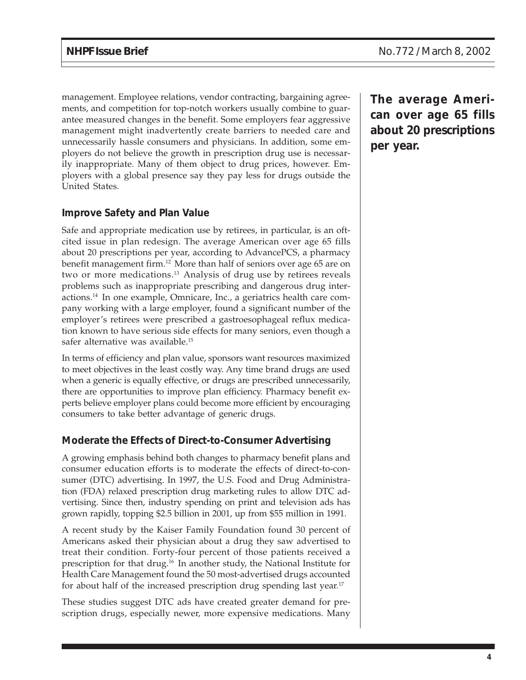management. Employee relations, vendor contracting, bargaining agreements, and competition for top-notch workers usually combine to guarantee measured changes in the benefit. Some employers fear aggressive management might inadvertently create barriers to needed care and unnecessarily hassle consumers and physicians. In addition, some employers do not believe the growth in prescription drug use is necessarily inappropriate. Many of them object to drug prices, however. Employers with a global presence say they pay less for drugs outside the United States.

#### **Improve Safety and Plan Value**

Safe and appropriate medication use by retirees, in particular, is an oftcited issue in plan redesign. The average American over age 65 fills about 20 prescriptions per year, according to AdvancePCS, a pharmacy benefit management firm.12 More than half of seniors over age 65 are on two or more medications.13 Analysis of drug use by retirees reveals problems such as inappropriate prescribing and dangerous drug interactions.14 In one example, Omnicare, Inc., a geriatrics health care company working with a large employer, found a significant number of the employer's retirees were prescribed a gastroesophageal reflux medication known to have serious side effects for many seniors, even though a safer alternative was available.<sup>15</sup>

In terms of efficiency and plan value, sponsors want resources maximized to meet objectives in the least costly way. Any time brand drugs are used when a generic is equally effective, or drugs are prescribed unnecessarily, there are opportunities to improve plan efficiency. Pharmacy benefit experts believe employer plans could become more efficient by encouraging consumers to take better advantage of generic drugs.

#### **Moderate the Effects of Direct-to-Consumer Advertising**

A growing emphasis behind both changes to pharmacy benefit plans and consumer education efforts is to moderate the effects of direct-to-consumer (DTC) advertising. In 1997, the U.S. Food and Drug Administration (FDA) relaxed prescription drug marketing rules to allow DTC advertising. Since then, industry spending on print and television ads has grown rapidly, topping \$2.5 billion in 2001, up from \$55 million in 1991.

A recent study by the Kaiser Family Foundation found 30 percent of Americans asked their physician about a drug they saw advertised to treat their condition. Forty-four percent of those patients received a prescription for that drug.16 In another study, the National Institute for Health Care Management found the 50 most-advertised drugs accounted for about half of the increased prescription drug spending last year.<sup>17</sup>

These studies suggest DTC ads have created greater demand for prescription drugs, especially newer, more expensive medications. Many **The average American over age 65 fills about 20 prescriptions per year.**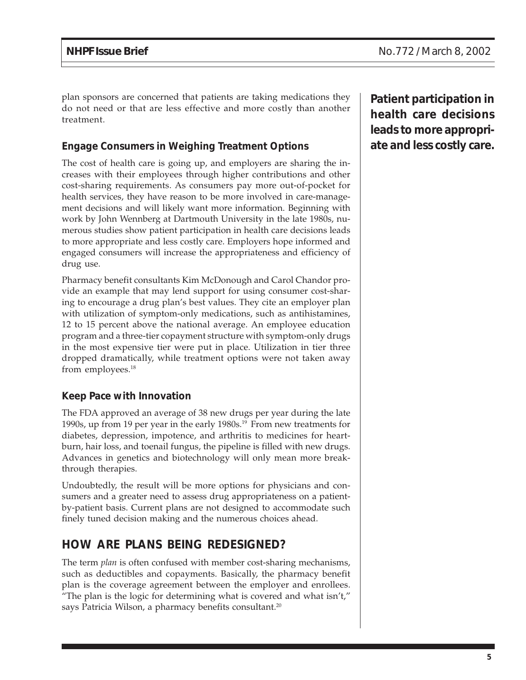plan sponsors are concerned that patients are taking medications they do not need or that are less effective and more costly than another treatment.

#### **Engage Consumers in Weighing Treatment Options**

The cost of health care is going up, and employers are sharing the increases with their employees through higher contributions and other cost-sharing requirements. As consumers pay more out-of-pocket for health services, they have reason to be more involved in care-management decisions and will likely want more information. Beginning with work by John Wennberg at Dartmouth University in the late 1980s, numerous studies show patient participation in health care decisions leads to more appropriate and less costly care. Employers hope informed and engaged consumers will increase the appropriateness and efficiency of drug use.

Pharmacy benefit consultants Kim McDonough and Carol Chandor provide an example that may lend support for using consumer cost-sharing to encourage a drug plan's best values. They cite an employer plan with utilization of symptom-only medications, such as antihistamines, 12 to 15 percent above the national average. An employee education program and a three-tier copayment structure with symptom-only drugs in the most expensive tier were put in place. Utilization in tier three dropped dramatically, while treatment options were not taken away from employees.<sup>18</sup>

#### **Keep Pace with Innovation**

The FDA approved an average of 38 new drugs per year during the late 1990s, up from 19 per year in the early 1980s.19 From new treatments for diabetes, depression, impotence, and arthritis to medicines for heartburn, hair loss, and toenail fungus, the pipeline is filled with new drugs. Advances in genetics and biotechnology will only mean more breakthrough therapies.

Undoubtedly, the result will be more options for physicians and consumers and a greater need to assess drug appropriateness on a patientby-patient basis. Current plans are not designed to accommodate such finely tuned decision making and the numerous choices ahead.

## **HOW ARE PLANS BEING REDESIGNED?**

The term *plan* is often confused with member cost-sharing mechanisms, such as deductibles and copayments. Basically, the pharmacy benefit plan is the coverage agreement between the employer and enrollees. "The plan is the logic for determining what is covered and what  $\text{isn't,'}$ " says Patricia Wilson, a pharmacy benefits consultant.<sup>20</sup>

**Patient participation in health care decisions leads to more appropriate and less costly care.**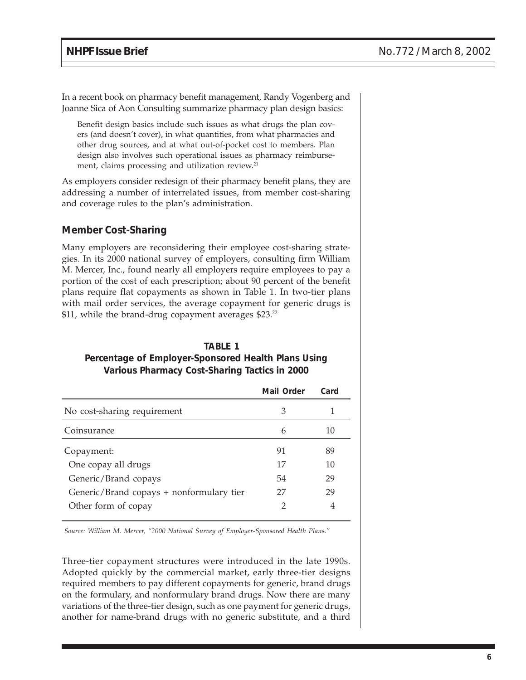In a recent book on pharmacy benefit management, Randy Vogenberg and Joanne Sica of Aon Consulting summarize pharmacy plan design basics:

Benefit design basics include such issues as what drugs the plan covers (and doesn't cover), in what quantities, from what pharmacies and other drug sources, and at what out-of-pocket cost to members. Plan design also involves such operational issues as pharmacy reimbursement, claims processing and utilization review.<sup>21</sup>

As employers consider redesign of their pharmacy benefit plans, they are addressing a number of interrelated issues, from member cost-sharing and coverage rules to the plan's administration.

#### **Member Cost-Sharing**

Many employers are reconsidering their employee cost-sharing strategies. In its 2000 national survey of employers, consulting firm William M. Mercer, Inc., found nearly all employers require employees to pay a portion of the cost of each prescription; about 90 percent of the benefit plans require flat copayments as shown in Table 1. In two-tier plans with mail order services, the average copayment for generic drugs is \$11, while the brand-drug copayment averages \$23.<sup>22</sup>

#### **TABLE 1 Percentage of Employer-Sponsored Health Plans Using Various Pharmacy Cost-Sharing Tactics in 2000**

|                                          | Mail Order | Card |
|------------------------------------------|------------|------|
| No cost-sharing requirement              | З          |      |
| Coinsurance                              | 6          | 10   |
| Copayment:                               | 91         | 89   |
| One copay all drugs                      | 17         | 10   |
| Generic/Brand copays                     | 54         | 29   |
| Generic/Brand copays + nonformulary tier | 27         | 29   |
| Other form of copay                      |            | 4    |

*Source: William M. Mercer, "2000 National Survey of Employer-Sponsored Health Plans."*

Three-tier copayment structures were introduced in the late 1990s. Adopted quickly by the commercial market, early three-tier designs required members to pay different copayments for generic, brand drugs on the formulary, and nonformulary brand drugs. Now there are many variations of the three-tier design, such as one payment for generic drugs, another for name-brand drugs with no generic substitute, and a third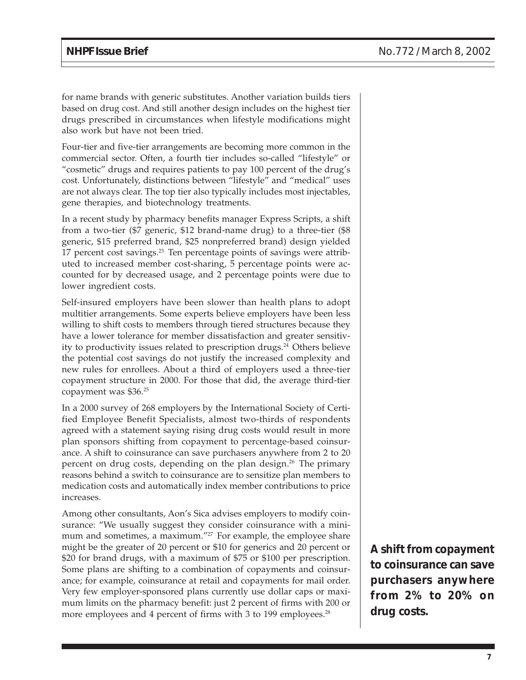for name brands with generic substitutes. Another variation builds tiers based on drug cost. And still another design includes on the highest tier drugs prescribed in circumstances when lifestyle modifications might also work but have not been tried.

Four-tier and five-tier arrangements are becoming more common in the commercial sector. Often, a fourth tier includes so-called "lifestyle" or "cosmetic" drugs and requires patients to pay 100 percent of the drug's cost. Unfortunately, distinctions between "lifestyle" and "medical" uses are not always clear. The top tier also typically includes most injectables, gene therapies, and biotechnology treatments.

In a recent study by pharmacy benefits manager Express Scripts, a shift from a two-tier (\$7 generic, \$12 brand-name drug) to a three-tier (\$8 generic, \$15 preferred brand, \$25 nonpreferred brand) design yielded 17 percent cost savings.<sup>23</sup> Ten percentage points of savings were attributed to increased member cost-sharing, 5 percentage points were accounted for by decreased usage, and 2 percentage points were due to lower ingredient costs.

Self-insured employers have been slower than health plans to adopt multitier arrangements. Some experts believe employers have been less willing to shift costs to members through tiered structures because they have a lower tolerance for member dissatisfaction and greater sensitivity to productivity issues related to prescription drugs.<sup>24</sup> Others believe the potential cost savings do not justify the increased complexity and new rules for enrollees. About a third of employers used a three-tier copayment structure in 2000. For those that did, the average third-tier copayment was \$36.25

In a 2000 survey of 268 employers by the International Society of Certified Employee Benefit Specialists, almost two-thirds of respondents agreed with a statement saying rising drug costs would result in more plan sponsors shifting from copayment to percentage-based coinsurance. A shift to coinsurance can save purchasers anywhere from 2 to 20 percent on drug costs, depending on the plan design.<sup>26</sup> The primary reasons behind a switch to coinsurance are to sensitize plan members to medication costs and automatically index member contributions to price increases.

Among other consultants, Aon's Sica advises employers to modify coinsurance: "We usually suggest they consider coinsurance with a minimum and sometimes, a maximum."<sup>27</sup> For example, the employee share might be the greater of 20 percent or \$10 for generics and 20 percent or \$20 for brand drugs, with a maximum of \$75 or \$100 per prescription. Some plans are shifting to a combination of copayments and coinsurance; for example, coinsurance at retail and copayments for mail order. Very few employer-sponsored plans currently use dollar caps or maximum limits on the pharmacy benefit: just 2 percent of firms with 200 or more employees and 4 percent of firms with 3 to 199 employees.<sup>28</sup>

**A shift from copayment to coinsurance can save purchasers anywhere from 2% to 20% on drug costs.**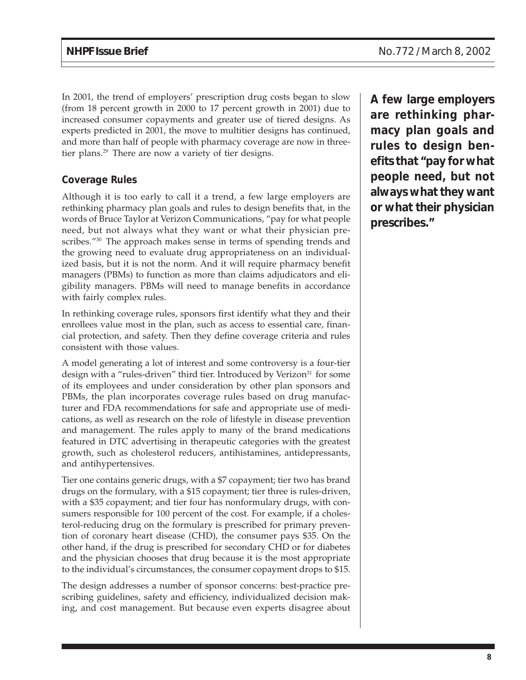In 2001, the trend of employers' prescription drug costs began to slow (from 18 percent growth in 2000 to 17 percent growth in 2001) due to increased consumer copayments and greater use of tiered designs. As experts predicted in 2001, the move to multitier designs has continued, and more than half of people with pharmacy coverage are now in threetier plans.<sup>29</sup> There are now a variety of tier designs.

#### **Coverage Rules**

Although it is too early to call it a trend, a few large employers are rethinking pharmacy plan goals and rules to design benefits that, in the words of Bruce Taylor at Verizon Communications, "pay for what people need, but not always what they want or what their physician prescribes."<sup>30</sup> The approach makes sense in terms of spending trends and the growing need to evaluate drug appropriateness on an individualized basis, but it is not the norm. And it will require pharmacy benefit managers (PBMs) to function as more than claims adjudicators and eligibility managers. PBMs will need to manage benefits in accordance with fairly complex rules.

In rethinking coverage rules, sponsors first identify what they and their enrollees value most in the plan, such as access to essential care, financial protection, and safety. Then they define coverage criteria and rules consistent with those values.

A model generating a lot of interest and some controversy is a four-tier design with a "rules-driven" third tier. Introduced by Verizon<sup>31</sup> for some of its employees and under consideration by other plan sponsors and PBMs, the plan incorporates coverage rules based on drug manufacturer and FDA recommendations for safe and appropriate use of medications, as well as research on the role of lifestyle in disease prevention and management. The rules apply to many of the brand medications featured in DTC advertising in therapeutic categories with the greatest growth, such as cholesterol reducers, antihistamines, antidepressants, and antihypertensives.

Tier one contains generic drugs, with a \$7 copayment; tier two has brand drugs on the formulary, with a \$15 copayment; tier three is rules-driven, with a \$35 copayment; and tier four has nonformulary drugs, with consumers responsible for 100 percent of the cost. For example, if a cholesterol-reducing drug on the formulary is prescribed for primary prevention of coronary heart disease (CHD), the consumer pays \$35. On the other hand, if the drug is prescribed for secondary CHD or for diabetes and the physician chooses that drug because it is the most appropriate to the individual's circumstances, the consumer copayment drops to \$15.

The design addresses a number of sponsor concerns: best-practice prescribing guidelines, safety and efficiency, individualized decision making, and cost management. But because even experts disagree about **A few large employers are rethinking pharmacy plan goals and rules to design benefits that "pay for what people need, but not always what they want or what their physician prescribes."**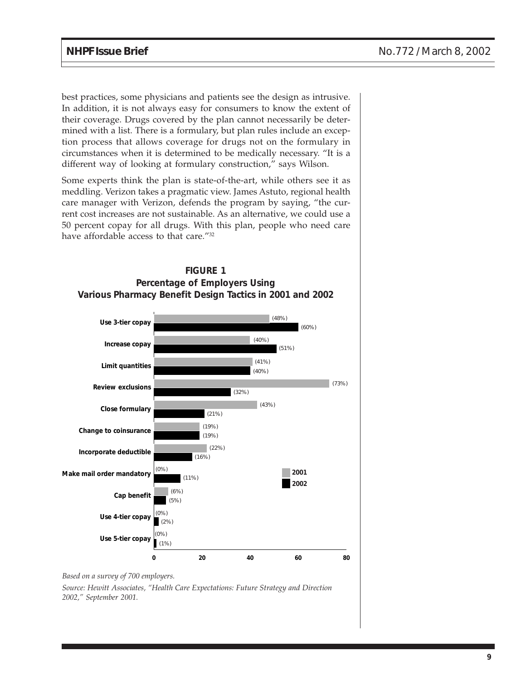best practices, some physicians and patients see the design as intrusive. In addition, it is not always easy for consumers to know the extent of their coverage. Drugs covered by the plan cannot necessarily be determined with a list. There is a formulary, but plan rules include an exception process that allows coverage for drugs not on the formulary in circumstances when it is determined to be medically necessary. "It is a different way of looking at formulary construction," says Wilson.

Some experts think the plan is state-of-the-art, while others see it as meddling. Verizon takes a pragmatic view. James Astuto, regional health care manager with Verizon, defends the program by saying, "the current cost increases are not sustainable. As an alternative, we could use a 50 percent copay for all drugs. With this plan, people who need care have affordable access to that care."32





*Based on a survey of 700 employers.*

*Source: Hewitt Associates, "Health Care Expectations: Future Strategy and Direction 2002," September 2001.*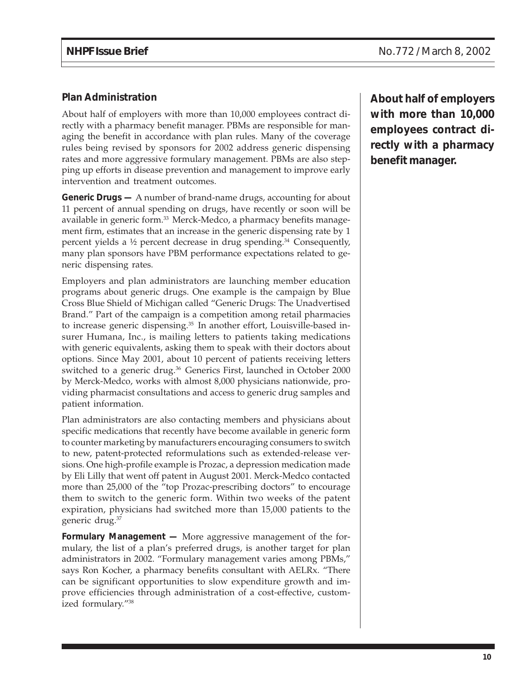#### **Plan Administration**

About half of employers with more than 10,000 employees contract directly with a pharmacy benefit manager. PBMs are responsible for managing the benefit in accordance with plan rules. Many of the coverage rules being revised by sponsors for 2002 address generic dispensing rates and more aggressive formulary management. PBMs are also stepping up efforts in disease prevention and management to improve early intervention and treatment outcomes.

**Generic Drugs —** A number of brand-name drugs, accounting for about 11 percent of annual spending on drugs, have recently or soon will be available in generic form.<sup>33</sup> Merck-Medco, a pharmacy benefits management firm, estimates that an increase in the generic dispensing rate by 1 percent yields a  $\frac{1}{2}$  percent decrease in drug spending.<sup>34</sup> Consequently, many plan sponsors have PBM performance expectations related to generic dispensing rates.

Employers and plan administrators are launching member education programs about generic drugs. One example is the campaign by Blue Cross Blue Shield of Michigan called "Generic Drugs: The Unadvertised Brand." Part of the campaign is a competition among retail pharmacies to increase generic dispensing.<sup>35</sup> In another effort, Louisville-based insurer Humana, Inc., is mailing letters to patients taking medications with generic equivalents, asking them to speak with their doctors about options. Since May 2001, about 10 percent of patients receiving letters switched to a generic drug.<sup>36</sup> Generics First, launched in October 2000 by Merck-Medco, works with almost 8,000 physicians nationwide, providing pharmacist consultations and access to generic drug samples and patient information.

Plan administrators are also contacting members and physicians about specific medications that recently have become available in generic form to counter marketing by manufacturers encouraging consumers to switch to new, patent-protected reformulations such as extended-release versions. One high-profile example is Prozac, a depression medication made by Eli Lilly that went off patent in August 2001. Merck-Medco contacted more than 25,000 of the "top Prozac-prescribing doctors" to encourage them to switch to the generic form. Within two weeks of the patent expiration, physicians had switched more than 15,000 patients to the generic drug.37

**Formulary Management —** More aggressive management of the formulary, the list of a plan's preferred drugs, is another target for plan administrators in 2002. "Formulary management varies among PBMs," says Ron Kocher, a pharmacy benefits consultant with AELRx. "There can be significant opportunities to slow expenditure growth and improve efficiencies through administration of a cost-effective, customized formulary."38

**About half of employers with more than 10,000 employees contract directly with a pharmacy benefit manager.**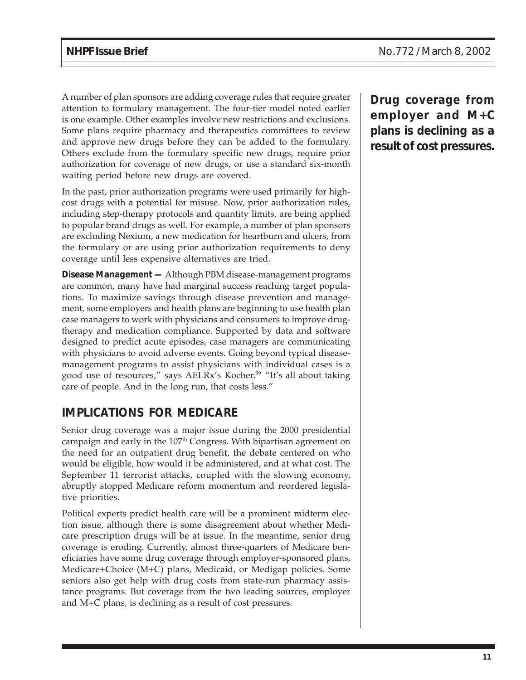A number of plan sponsors are adding coverage rules that require greater attention to formulary management. The four-tier model noted earlier is one example. Other examples involve new restrictions and exclusions. Some plans require pharmacy and therapeutics committees to review and approve new drugs before they can be added to the formulary. Others exclude from the formulary specific new drugs, require prior authorization for coverage of new drugs, or use a standard six-month waiting period before new drugs are covered.

In the past, prior authorization programs were used primarily for highcost drugs with a potential for misuse. Now, prior authorization rules, including step-therapy protocols and quantity limits, are being applied to popular brand drugs as well. For example, a number of plan sponsors are excluding Nexium, a new medication for heartburn and ulcers, from the formulary or are using prior authorization requirements to deny coverage until less expensive alternatives are tried.

**Disease Management —** Although PBM disease-management programs are common, many have had marginal success reaching target populations. To maximize savings through disease prevention and management, some employers and health plans are beginning to use health plan case managers to work with physicians and consumers to improve drugtherapy and medication compliance. Supported by data and software designed to predict acute episodes, case managers are communicating with physicians to avoid adverse events. Going beyond typical diseasemanagement programs to assist physicians with individual cases is a good use of resources," says AELRx's Kocher.39 "It's all about taking care of people. And in the long run, that costs less."

## **IMPLICATIONS FOR MEDICARE**

Senior drug coverage was a major issue during the 2000 presidential campaign and early in the 107<sup>th</sup> Congress. With bipartisan agreement on the need for an outpatient drug benefit, the debate centered on who would be eligible, how would it be administered, and at what cost. The September 11 terrorist attacks, coupled with the slowing economy, abruptly stopped Medicare reform momentum and reordered legislative priorities.

Political experts predict health care will be a prominent midterm election issue, although there is some disagreement about whether Medicare prescription drugs will be at issue. In the meantime, senior drug coverage is eroding. Currently, almost three-quarters of Medicare beneficiaries have some drug coverage through employer-sponsored plans, Medicare+Choice (M+C) plans, Medicaid, or Medigap policies. Some seniors also get help with drug costs from state-run pharmacy assistance programs. But coverage from the two leading sources, employer and M+C plans, is declining as a result of cost pressures.

**Drug coverage from employer and M+C plans is declining as a result of cost pressures.**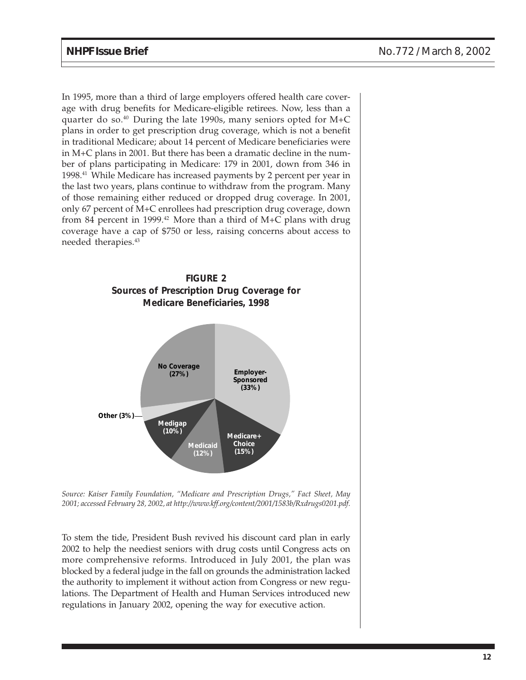In 1995, more than a third of large employers offered health care coverage with drug benefits for Medicare-eligible retirees. Now, less than a quarter do so. $40$  During the late 1990s, many seniors opted for M+C plans in order to get prescription drug coverage, which is not a benefit in traditional Medicare; about 14 percent of Medicare beneficiaries were in M+C plans in 2001. But there has been a dramatic decline in the number of plans participating in Medicare: 179 in 2001, down from 346 in 1998.41 While Medicare has increased payments by 2 percent per year in the last two years, plans continue to withdraw from the program. Many of those remaining either reduced or dropped drug coverage. In 2001, only 67 percent of M+C enrollees had prescription drug coverage, down from 84 percent in 1999.<sup>42</sup> More than a third of M+C plans with drug coverage have a cap of \$750 or less, raising concerns about access to needed therapies.43



*Source: Kaiser Family Foundation, "Medicare and Prescription Drugs," Fact Sheet, May 2001; accessed February 28, 2002, at http://www.kff.org/content/2001/1583b/Rxdrugs0201.pdf.*

To stem the tide, President Bush revived his discount card plan in early 2002 to help the neediest seniors with drug costs until Congress acts on more comprehensive reforms. Introduced in July 2001, the plan was blocked by a federal judge in the fall on grounds the administration lacked the authority to implement it without action from Congress or new regulations. The Department of Health and Human Services introduced new regulations in January 2002, opening the way for executive action.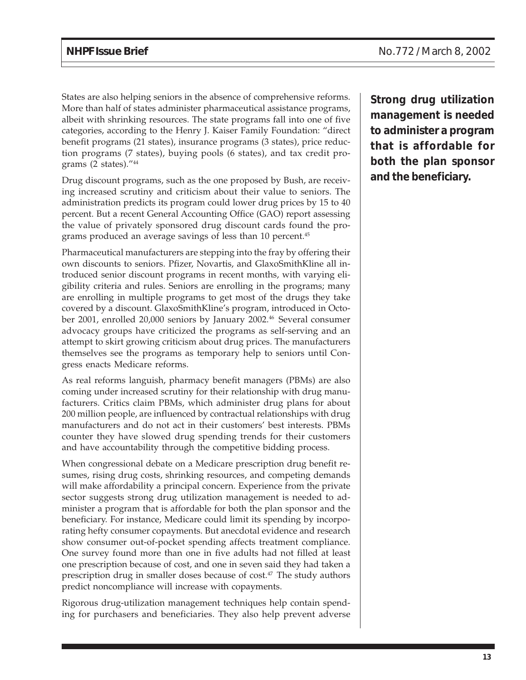States are also helping seniors in the absence of comprehensive reforms. More than half of states administer pharmaceutical assistance programs, albeit with shrinking resources. The state programs fall into one of five categories, according to the Henry J. Kaiser Family Foundation: "direct benefit programs (21 states), insurance programs (3 states), price reduction programs (7 states), buying pools (6 states), and tax credit programs (2 states)."44

Drug discount programs, such as the one proposed by Bush, are receiving increased scrutiny and criticism about their value to seniors. The administration predicts its program could lower drug prices by 15 to 40 percent. But a recent General Accounting Office (GAO) report assessing the value of privately sponsored drug discount cards found the programs produced an average savings of less than 10 percent.<sup>45</sup>

Pharmaceutical manufacturers are stepping into the fray by offering their own discounts to seniors. Pfizer, Novartis, and GlaxoSmithKline all introduced senior discount programs in recent months, with varying eligibility criteria and rules. Seniors are enrolling in the programs; many are enrolling in multiple programs to get most of the drugs they take covered by a discount. GlaxoSmithKline's program, introduced in October 2001, enrolled 20,000 seniors by January 2002.<sup>46</sup> Several consumer advocacy groups have criticized the programs as self-serving and an attempt to skirt growing criticism about drug prices. The manufacturers themselves see the programs as temporary help to seniors until Congress enacts Medicare reforms.

As real reforms languish, pharmacy benefit managers (PBMs) are also coming under increased scrutiny for their relationship with drug manufacturers. Critics claim PBMs, which administer drug plans for about 200 million people, are influenced by contractual relationships with drug manufacturers and do not act in their customers' best interests. PBMs counter they have slowed drug spending trends for their customers and have accountability through the competitive bidding process.

When congressional debate on a Medicare prescription drug benefit resumes, rising drug costs, shrinking resources, and competing demands will make affordability a principal concern. Experience from the private sector suggests strong drug utilization management is needed to administer a program that is affordable for both the plan sponsor and the beneficiary. For instance, Medicare could limit its spending by incorporating hefty consumer copayments. But anecdotal evidence and research show consumer out-of-pocket spending affects treatment compliance. One survey found more than one in five adults had not filled at least one prescription because of cost, and one in seven said they had taken a prescription drug in smaller doses because of cost.<sup>47</sup> The study authors predict noncompliance will increase with copayments.

Rigorous drug-utilization management techniques help contain spending for purchasers and beneficiaries. They also help prevent adverse **Strong drug utilization management is needed to administer a program that is affordable for both the plan sponsor and the beneficiary.**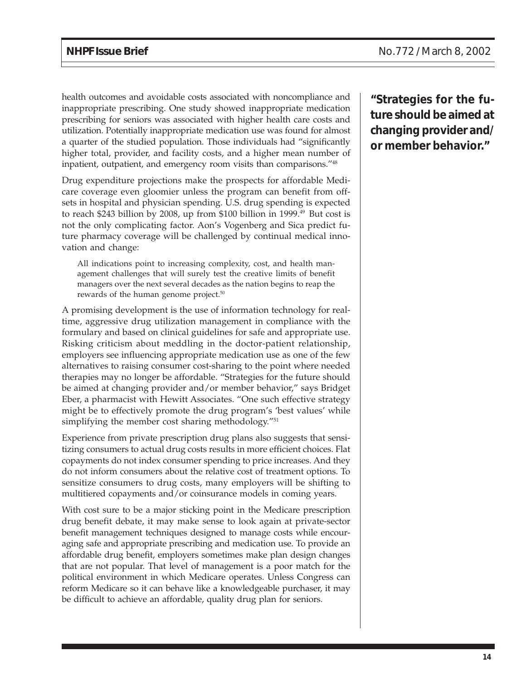health outcomes and avoidable costs associated with noncompliance and inappropriate prescribing. One study showed inappropriate medication prescribing for seniors was associated with higher health care costs and utilization. Potentially inappropriate medication use was found for almost a quarter of the studied population. Those individuals had "significantly higher total, provider, and facility costs, and a higher mean number of inpatient, outpatient, and emergency room visits than comparisons."48

Drug expenditure projections make the prospects for affordable Medicare coverage even gloomier unless the program can benefit from offsets in hospital and physician spending. U.S. drug spending is expected to reach \$243 billion by 2008, up from \$100 billion in 1999.<sup>49</sup> But cost is not the only complicating factor. Aon's Vogenberg and Sica predict future pharmacy coverage will be challenged by continual medical innovation and change:

All indications point to increasing complexity, cost, and health management challenges that will surely test the creative limits of benefit managers over the next several decades as the nation begins to reap the rewards of the human genome project.<sup>50</sup>

A promising development is the use of information technology for realtime, aggressive drug utilization management in compliance with the formulary and based on clinical guidelines for safe and appropriate use. Risking criticism about meddling in the doctor-patient relationship, employers see influencing appropriate medication use as one of the few alternatives to raising consumer cost-sharing to the point where needed therapies may no longer be affordable. "Strategies for the future should be aimed at changing provider and/or member behavior," says Bridget Eber, a pharmacist with Hewitt Associates. "One such effective strategy might be to effectively promote the drug program's 'best values' while simplifying the member cost sharing methodology."<sup>51</sup>

Experience from private prescription drug plans also suggests that sensitizing consumers to actual drug costs results in more efficient choices. Flat copayments do not index consumer spending to price increases. And they do not inform consumers about the relative cost of treatment options. To sensitize consumers to drug costs, many employers will be shifting to multitiered copayments and/or coinsurance models in coming years.

With cost sure to be a major sticking point in the Medicare prescription drug benefit debate, it may make sense to look again at private-sector benefit management techniques designed to manage costs while encouraging safe and appropriate prescribing and medication use. To provide an affordable drug benefit, employers sometimes make plan design changes that are not popular. That level of management is a poor match for the political environment in which Medicare operates. Unless Congress can reform Medicare so it can behave like a knowledgeable purchaser, it may be difficult to achieve an affordable, quality drug plan for seniors.

**"Strategies for the future should be aimed at changing provider and/ or member behavior."**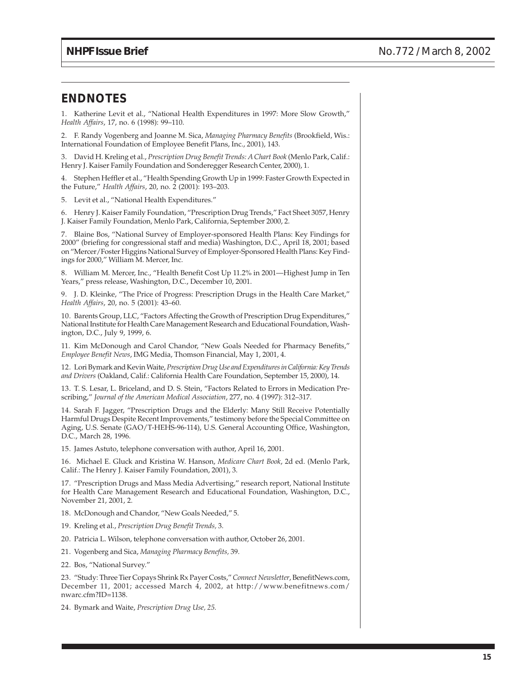### **ENDNOTES**

1. Katherine Levit et al., "National Health Expenditures in 1997: More Slow Growth," *Health Affairs*, 17, no. 6 (1998): 99–110.

2. F. Randy Vogenberg and Joanne M. Sica, *Managing Pharmacy Benefits* (Brookfield, Wis.: International Foundation of Employee Benefit Plans, Inc., 2001), 143.

3. David H. Kreling et al., *Prescription Drug Benefit Trends: A Chart Book* (Menlo Park, Calif.: Henry J. Kaiser Family Foundation and Sonderegger Research Center, 2000), 1.

4. Stephen Heffler et al., "Health Spending Growth Up in 1999: Faster Growth Expected in the Future," *Health Affairs*, 20, no. 2 (2001): 193–203.

5. Levit et al., "National Health Expenditures."

6. Henry J. Kaiser Family Foundation, "Prescription Drug Trends," Fact Sheet 3057, Henry J. Kaiser Family Foundation, Menlo Park, California, September 2000, 2.

7. Blaine Bos, "National Survey of Employer-sponsored Health Plans: Key Findings for 2000" (briefing for congressional staff and media) Washington, D.C., April 18, 2001; based on "Mercer/Foster Higgins National Survey of Employer-Sponsored Health Plans: Key Findings for 2000," William M. Mercer, Inc.

8. William M. Mercer, Inc., "Health Benefit Cost Up 11.2% in 2001—Highest Jump in Ten Years," press release, Washington, D.C., December 10, 2001.

9. J. D. Kleinke, "The Price of Progress: Prescription Drugs in the Health Care Market," *Health Affairs*, 20, no. 5 (2001): 43–60.

10. Barents Group, LLC, "Factors Affecting the Growth of Prescription Drug Expenditures," National Institute for Health Care Management Research and Educational Foundation, Washington, D.C., July 9, 1999, 6.

11. Kim McDonough and Carol Chandor, "New Goals Needed for Pharmacy Benefits," *Employee Benefit News*, IMG Media, Thomson Financial, May 1, 2001, 4.

12. Lori Bymark and Kevin Waite, *Prescription Drug Use and Expenditures in California: Key Trends and Drivers* (Oakland, Calif.: California Health Care Foundation, September 15, 2000), 14.

13. T. S. Lesar, L. Briceland, and D. S. Stein, "Factors Related to Errors in Medication Prescribing," *Journal of the American Medical Association*, 277, no. 4 (1997): 312–317.

14. Sarah F. Jagger, "Prescription Drugs and the Elderly: Many Still Receive Potentially Harmful Drugs Despite Recent Improvements," testimony before the Special Committee on Aging, U.S. Senate (GAO/T-HEHS-96-114), U.S. General Accounting Office, Washington, D.C., March 28, 1996.

15. James Astuto, telephone conversation with author, April 16, 2001.

16. Michael E. Gluck and Kristina W. Hanson, *Medicare Chart Book*, 2d ed. (Menlo Park, Calif.: The Henry J. Kaiser Family Foundation, 2001), 3.

17. "Prescription Drugs and Mass Media Advertising," research report, National Institute for Health Care Management Research and Educational Foundation, Washington, D.C., November 21, 2001, 2.

18. McDonough and Chandor, "New Goals Needed," 5.

- 19. Kreling et al., *Prescription Drug Benefit Trends,* 3.
- 20. Patricia L. Wilson, telephone conversation with author, October 26, 2001.
- 21. Vogenberg and Sica, *Managing Pharmacy Benefits,* 39.
- 22. Bos, "National Survey."

23. "Study: Three Tier Copays Shrink Rx Payer Costs," *Connect Newsletter*, BenefitNews.com, December 11, 2001; accessed March 4, 2002, at http://www.benefitnews.com/ nwarc.cfm?ID=1138.

24. Bymark and Waite, *Prescription Drug Use, 25.*